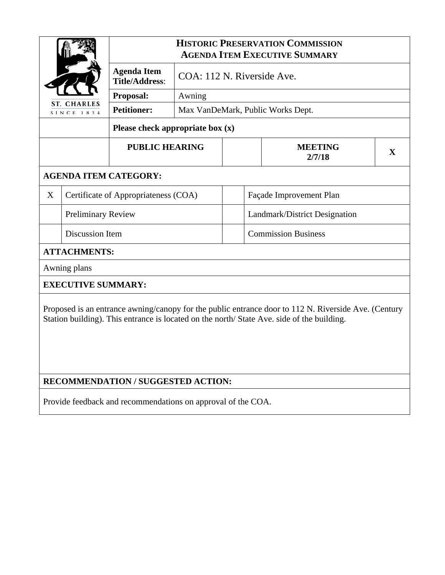|                                                                                                                                                                                                    |                                      | <b>HISTORIC PRESERVATION COMMISSION</b><br><b>AGENDA ITEM EXECUTIVE SUMMARY</b> |                                      |  |                               |              |  |  |  |
|----------------------------------------------------------------------------------------------------------------------------------------------------------------------------------------------------|--------------------------------------|---------------------------------------------------------------------------------|--------------------------------------|--|-------------------------------|--------------|--|--|--|
|                                                                                                                                                                                                    |                                      | <b>Agenda Item</b><br><b>Title/Address:</b>                                     | COA: 112 N. Riverside Ave.<br>Awning |  |                               |              |  |  |  |
|                                                                                                                                                                                                    |                                      | Proposal:                                                                       |                                      |  |                               |              |  |  |  |
| ST. CHARLES<br>SINCE 1834                                                                                                                                                                          |                                      | <b>Petitioner:</b>                                                              | Max VanDeMark, Public Works Dept.    |  |                               |              |  |  |  |
| Please check appropriate box $(x)$                                                                                                                                                                 |                                      |                                                                                 |                                      |  |                               |              |  |  |  |
|                                                                                                                                                                                                    |                                      | <b>PUBLIC HEARING</b>                                                           |                                      |  | <b>MEETING</b><br>2/7/18      | $\mathbf{X}$ |  |  |  |
| <b>AGENDA ITEM CATEGORY:</b>                                                                                                                                                                       |                                      |                                                                                 |                                      |  |                               |              |  |  |  |
| X                                                                                                                                                                                                  | Certificate of Appropriateness (COA) |                                                                                 |                                      |  | Façade Improvement Plan       |              |  |  |  |
|                                                                                                                                                                                                    | <b>Preliminary Review</b>            |                                                                                 |                                      |  | Landmark/District Designation |              |  |  |  |
| <b>Discussion Item</b>                                                                                                                                                                             |                                      |                                                                                 |                                      |  | <b>Commission Business</b>    |              |  |  |  |
|                                                                                                                                                                                                    | <b>ATTACHMENTS:</b>                  |                                                                                 |                                      |  |                               |              |  |  |  |
|                                                                                                                                                                                                    | Awning plans                         |                                                                                 |                                      |  |                               |              |  |  |  |
| <b>EXECUTIVE SUMMARY:</b>                                                                                                                                                                          |                                      |                                                                                 |                                      |  |                               |              |  |  |  |
| Proposed is an entrance awning/canopy for the public entrance door to 112 N. Riverside Ave. (Century<br>Station building). This entrance is located on the north/ State Ave. side of the building. |                                      |                                                                                 |                                      |  |                               |              |  |  |  |
| RECOMMENDATION / SUGGESTED ACTION:                                                                                                                                                                 |                                      |                                                                                 |                                      |  |                               |              |  |  |  |

Provide feedback and recommendations on approval of the COA.